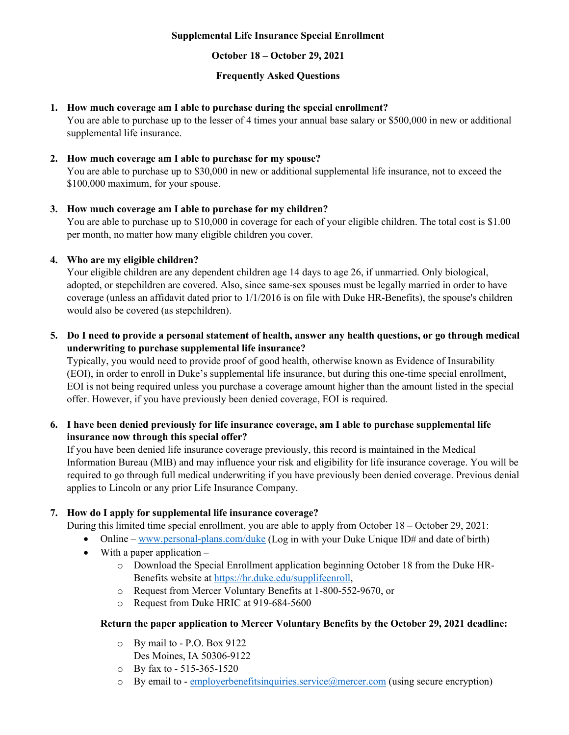## **Supplemental Life Insurance Special Enrollment**

# **October 18 – October 29, 2021**

## **Frequently Asked Questions**

# **1. How much coverage am I able to purchase during the special enrollment?**

You are able to purchase up to the lesser of 4 times your annual base salary or \$500,000 in new or additional supplemental life insurance.

# **2. How much coverage am I able to purchase for my spouse?**

You are able to purchase up to \$30,000 in new or additional supplemental life insurance, not to exceed the \$100,000 maximum, for your spouse.

### **3. How much coverage am I able to purchase for my children?**

You are able to purchase up to \$10,000 in coverage for each of your eligible children. The total cost is \$1.00 per month, no matter how many eligible children you cover.

# **4. Who are my eligible children?**

Your eligible children are any dependent children age 14 days to age 26, if unmarried. Only biological, adopted, or stepchildren are covered. Also, since same-sex spouses must be legally married in order to have coverage (unless an affidavit dated prior to 1/1/2016 is on file with Duke HR-Benefits), the spouse's children would also be covered (as stepchildren).

# **5. Do I need to provide a personal statement of health, answer any health questions, or go through medical underwriting to purchase supplemental life insurance?**

Typically, you would need to provide proof of good health, otherwise known as Evidence of Insurability (EOI), in order to enroll in Duke's supplemental life insurance, but during this one-time special enrollment, EOI is not being required unless you purchase a coverage amount higher than the amount listed in the special offer. However, if you have previously been denied coverage, EOI is required.

# **6. I have been denied previously for life insurance coverage, am I able to purchase supplemental life insurance now through this special offer?**

If you have been denied life insurance coverage previously, this record is maintained in the Medical Information Bureau (MIB) and may influence your risk and eligibility for life insurance coverage. You will be required to go through full medical underwriting if you have previously been denied coverage. Previous denial applies to Lincoln or any prior Life Insurance Company.

# **7. How do I apply for supplemental life insurance coverage?**

During this limited time special enrollment, you are able to apply from October 18 – October 29, 2021:

- Online [www.personal-plans.com/duke](http://www.personal-plans.com/duke) (Log in with your Duke Unique ID# and date of birth)
- With a paper application  $$ 
	- o Download the Special Enrollment application beginning October 18 from the Duke HR-Benefits website at [https://hr.duke.edu/supplifeenroll,](https://hr.duke.edu/supplifeenroll)
	- o Request from Mercer Voluntary Benefits at 1-800-552-9670, or
	- o Request from Duke HRIC at 919-684-5600

# **Return the paper application to Mercer Voluntary Benefits by the October 29, 2021 deadline:**

- o By mail to P.O. Box 9122 Des Moines, IA 50306-9122
- o By fax to 515-365-1520
- $\circ$  By email to employerbenefitsinguiries.service@mercer.com (using secure encryption)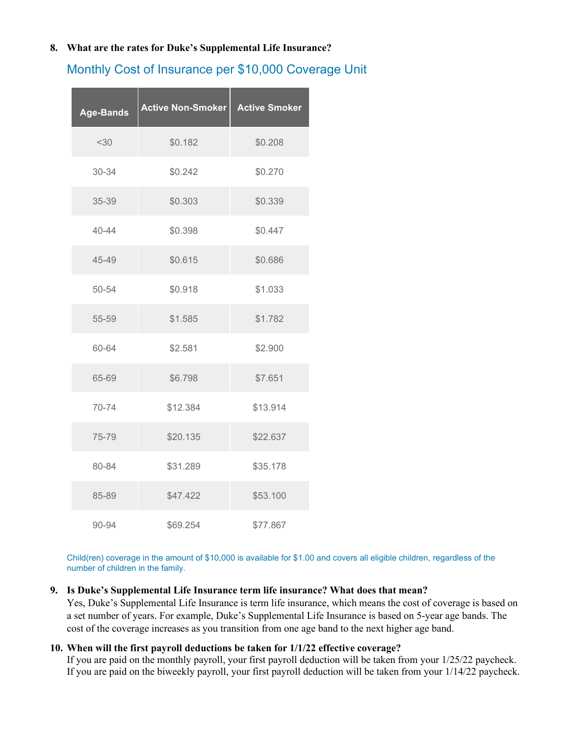# **8. What are the rates for Duke's Supplemental Life Insurance?**

# Monthly Cost of Insurance per \$10,000 Coverage Unit

| <b>Age-Bands</b> | <b>Active Non-Smoker</b> | <b>Active Smoker</b> |
|------------------|--------------------------|----------------------|
| <30              | \$0.182                  | \$0.208              |
| 30-34            | \$0.242                  | \$0.270              |
| 35-39            | \$0.303                  | \$0.339              |
| $40 - 44$        | \$0.398                  | \$0.447              |
| 45-49            | \$0.615                  | \$0.686              |
| 50-54            | \$0.918                  | \$1.033              |
| 55-59            | \$1.585                  | \$1.782              |
| 60-64            | \$2.581                  | \$2.900              |
| 65-69            | \$6.798                  | \$7.651              |
| 70-74            | \$12.384                 | \$13.914             |
| 75-79            | \$20.135                 | \$22.637             |
| 80-84            | \$31.289                 | \$35.178             |
| 85-89            | \$47.422                 | \$53.100             |
| 90-94            | \$69.254                 | \$77.867             |

Child(ren) coverage in the amount of \$10,000 is available for \$1.00 and covers all eligible children, regardless of the number of children in the family.

#### **9. Is Duke's Supplemental Life Insurance term life insurance? What does that mean?**

Yes, Duke's Supplemental Life Insurance is term life insurance, which means the cost of coverage is based on a set number of years. For example, Duke's Supplemental Life Insurance is based on 5-year age bands. The cost of the coverage increases as you transition from one age band to the next higher age band.

#### **10. When will the first payroll deductions be taken for 1/1/22 effective coverage?**

If you are paid on the monthly payroll, your first payroll deduction will be taken from your 1/25/22 paycheck. If you are paid on the biweekly payroll, your first payroll deduction will be taken from your 1/14/22 paycheck.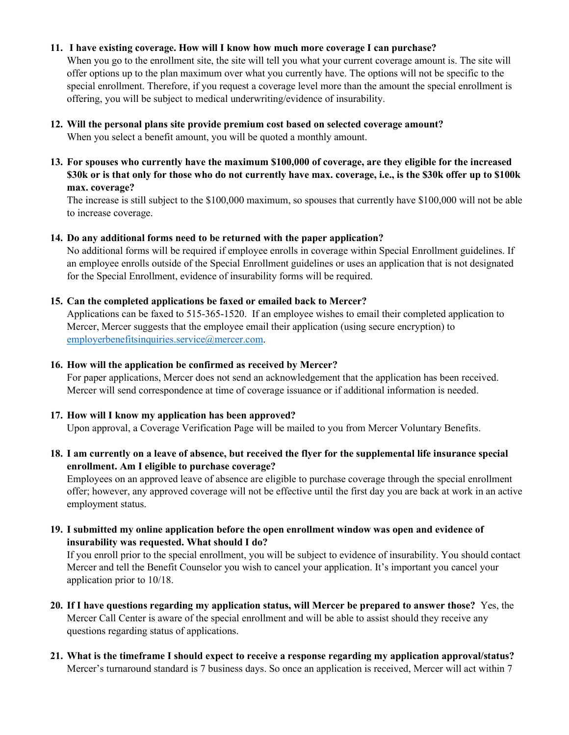# **11. I have existing coverage. How will I know how much more coverage I can purchase?**

When you go to the enrollment site, the site will tell you what your current coverage amount is. The site will offer options up to the plan maximum over what you currently have. The options will not be specific to the special enrollment. Therefore, if you request a coverage level more than the amount the special enrollment is offering, you will be subject to medical underwriting/evidence of insurability.

# **12. Will the personal plans site provide premium cost based on selected coverage amount?**

When you select a benefit amount, you will be quoted a monthly amount.

**13. For spouses who currently have the maximum \$100,000 of coverage, are they eligible for the increased \$30k or is that only for those who do not currently have max. coverage, i.e., is the \$30k offer up to \$100k max. coverage?**

The increase is still subject to the \$100,000 maximum, so spouses that currently have \$100,000 will not be able to increase coverage.

# **14. Do any additional forms need to be returned with the paper application?**

No additional forms will be required if employee enrolls in coverage within Special Enrollment guidelines. If an employee enrolls outside of the Special Enrollment guidelines or uses an application that is not designated for the Special Enrollment, evidence of insurability forms will be required.

# **15. Can the completed applications be faxed or emailed back to Mercer?**

Applications can be faxed to 515-365-1520. If an employee wishes to email their completed application to Mercer, Mercer suggests that the employee email their application (using secure encryption) to [employerbenefitsinquiries.service@mercer.com.](mailto:employerbenefitsinquiries.service@mercer.com)

# **16. How will the application be confirmed as received by Mercer?**

For paper applications, Mercer does not send an acknowledgement that the application has been received. Mercer will send correspondence at time of coverage issuance or if additional information is needed.

# **17. How will I know my application has been approved?**

Upon approval, a Coverage Verification Page will be mailed to you from Mercer Voluntary Benefits.

# **18. I am currently on a leave of absence, but received the flyer for the supplemental life insurance special enrollment. Am I eligible to purchase coverage?**

Employees on an approved leave of absence are eligible to purchase coverage through the special enrollment offer; however, any approved coverage will not be effective until the first day you are back at work in an active employment status.

# **19. I submitted my online application before the open enrollment window was open and evidence of insurability was requested. What should I do?**

If you enroll prior to the special enrollment, you will be subject to evidence of insurability. You should contact Mercer and tell the Benefit Counselor you wish to cancel your application. It's important you cancel your application prior to 10/18.

- **20. If I have questions regarding my application status, will Mercer be prepared to answer those?** Yes, the Mercer Call Center is aware of the special enrollment and will be able to assist should they receive any questions regarding status of applications.
- **21. What is the timeframe I should expect to receive a response regarding my application approval/status?** Mercer's turnaround standard is 7 business days. So once an application is received, Mercer will act within 7